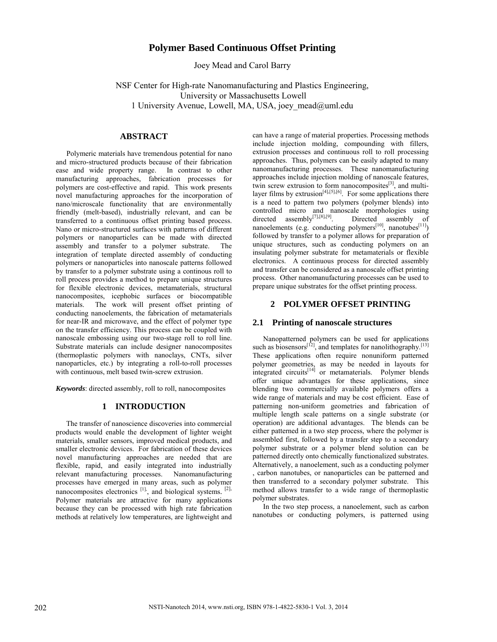# **Polymer Based Continuous Offset Printing**

Joey Mead and Carol Barry

NSF Center for High-rate Nanomanufacturing and Plastics Engineering, University or Massachusetts Lowell 1 University Avenue, Lowell, MA, USA, joey mead@uml.edu

### **ABSTRACT**

Polymeric materials have tremendous potential for nano and micro-structured products because of their fabrication ease and wide property range. In contrast to other manufacturing approaches, fabrication processes for polymers are cost-effective and rapid. This work presents novel manufacturing approaches for the incorporation of nano/microscale functionality that are environmentally friendly (melt-based), industrially relevant, and can be transferred to a continuous offset printing based process. Nano or micro-structured surfaces with patterns of different polymers or nanoparticles can be made with directed assembly and transfer to a polymer substrate. The integration of template directed assembly of conducting polymers or nanoparticles into nanoscale patterns followed by transfer to a polymer substrate using a continous roll to roll process provides a method to prepare unique structures for flexible electronic devices, metamaterials, structural nanocomposites, icephobic surfaces or biocompatible The work will present offset printing of conducting nanoelements, the fabrication of metamaterials for near-IR and microwave, and the effect of polymer type on the transfer efficiency. This process can be coupled with nanoscale embossing using our two-stage roll to roll line. Substrate materials can include designer nanocomposites (thermoplastic polymers with nanoclays, CNTs, silver nanoparticles, etc.) by integrating a roll-to-roll processes with continuous, melt based twin-screw extrusion.

*Keywords*: directed assembly, roll to roll, nanocomposites

## **1 INTRODUCTION**

The transfer of nanoscience discoveries into commercial products would enable the development of lighter weight materials, smaller sensors, improved medical products, and smaller electronic devices. For fabrication of these devices novel manufacturing approaches are needed that are flexible, rapid, and easily integrated into industrially relevant manufacturing processes. Nanomanufacturing processes have emerged in many areas, such as polymer nanocomposites electronics <sup>[1]</sup>, and biological systems. <sup>[2],</sup> Polymer materials are attractive for many applications because they can be processed with high rate fabrication methods at relatively low temperatures, are lightweight and

can have a range of material properties. Processing methods include injection molding, compounding with fillers, extrusion processes and continuous roll to roll processing approaches. Thus, polymers can be easily adapted to many nanomanufacturing processes. These nanomanufacturing approaches include injection molding of nanoscale features, twin screw extrusion to form nanocomposites<sup>[3]</sup>, and multilayer films by extrusion $[4]$ , $[5]$ , $[6]$ . For some applications there is a need to pattern two polymers (polymer blends) into controlled micro and nanoscale morphologies using<br>directed assembly<sup>[7],[8],[9]</sup>. Directed assembly of directed assembly<sup>[7],[8],[9]</sup>. Directed assembly of nanoelements (e.g. conducting polymers<sup>[10]</sup>, nanotubes<sup>[11]</sup>) followed by transfer to a polymer allows for preparation of unique structures, such as conducting polymers on an insulating polymer substrate for metamaterials or flexible electronics. A continuous process for directed assembly and transfer can be considered as a nanoscale offset printing process. Other nanomanufacturing processes can be used to prepare unique substrates for the offset printing process.

#### **2 POLYMER OFFSET PRINTING**

#### **2.1 Printing of nanoscale structures**

Nanopatterned polymers can be used for applications such as biosensors<sup>[12]</sup>, and templates for nanolithography.<sup>[13]</sup> These applications often require nonuniform patterned polymer geometries, as may be needed in layouts for integrated circuits<sup>[14]</sup> or metamaterials. Polymer blends offer unique advantages for these applications, since blending two commercially available polymers offers a wide range of materials and may be cost efficient. Ease of patterning non-uniform geometries and fabrication of multiple length scale patterns on a single substrate (or operation) are additional advantages. The blends can be either patterned in a two step process, where the polymer is assembled first, followed by a transfer step to a secondary polymer substrate or a polymer blend solution can be patterned directly onto chemically functionalized substrates. Alternatively, a nanoelement, such as a conducting polymer , carbon nanotubes, or nanoparticles can be patterned and then transferred to a secondary polymer substrate. This method allows transfer to a wide range of thermoplastic polymer substrates.

In the two step process, a nanoelement, such as carbon nanotubes or conducting polymers, is patterned using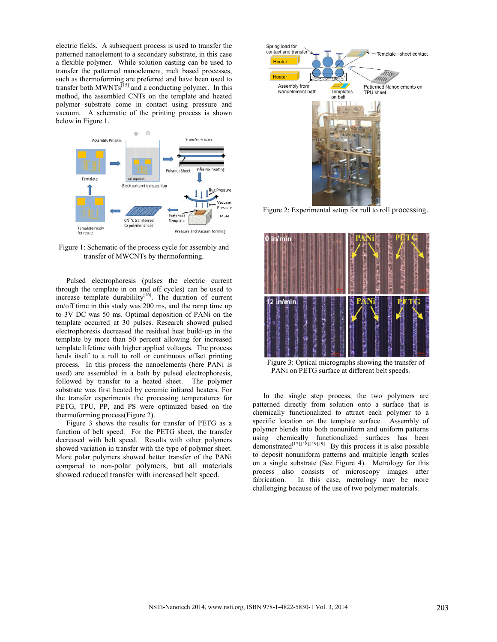electric fields. A subsequent process is used to transfer the patterned nanoelement to a secondary substrate, in this case a flexible polymer. While solution casting can be used to transfer the patterned nanoelement, melt based processes, such as thermoforming are preferred and have been used to transfer both MWNTs $^{[15]}$  and a conducting polymer. In this method, the assembled CNTs on the template and heated polymer substrate come in contact using pressure and vacuum. A schematic of the printing process is shown below in Figure 1.



Figure 1: Schematic of the process cycle for assembly and transfer of MWCNTs by thermoforming.

Pulsed electrophoresis (pulses the electric current through the template in on and off cycles) can be used to increase template durabililty $[16]$ . The duration of current on/off time in this study was 200 ms, and the ramp time up to 3V DC was 50 ms. Optimal deposition of PANi on the template occurred at 30 pulses. Research showed pulsed electrophoresis decreased the residual heat build-up in the template by more than 50 percent allowing for increased template lifetime with higher applied voltages. The process lends itself to a roll to roll or continuous offset printing process. In this process the nanoelements (here PANi is used) are assembled in a bath by pulsed electrophoresis, followed by transfer to a heated sheet. The polymer substrate was first heated by ceramic infrared heaters. For the transfer experiments the processing temperatures for PETG, TPU, PP, and PS were optimized based on the thermoforming process(Figure 2). followed by transfer to a heated sheet. The polymer<br>substrate was first heated by ceramic infrared heaters. For<br>the transfer experiments the processing temperatures for<br>PETG, TPU, PP, and PS were optimized based on the<br>the

Figure 3 shows the results for transfer of PETG as a function of belt speed. For the PETG sheet, the transfer decreased with belt speed. Results with other polymers showed variation in transfer with the type of polymer sheet. More polar polymers showed better transfer of the PANi compared to non-polar polymers, but all materials showed reduced transfer with increased belt speed. showed reduced transfer with increased belt speed.



Figure 2: Experimental setup for roll to roll processing.



Figure 3: Optical micrographs showing the transfer of PANi on PETG surface at different belt speeds.

In the single step process, the two polymers are patterned directly from solution onto a surface that is chemically functionalized to attract each polymer to a specific location on the template surface. Assembly of polymer blends into both nonuniform and uniform patterns using chemically functionalized surfaces has been demonstrated<sup>[17],[18],[19],[9].</sup> By this process it is also possible to deposit nonuniform patterns and multiple length scales on a single substrate (See Figure 4). Metrology for this process also consists of microscopy images after fabrication. In this case, metrology may be more challenging because of the use of two polymer materials. Nowing the transfer<br>
increased:<br>
Internal between the complement<br>
increased:<br>
Internal between the sumble<br>
increased:<br>
Internal between the sumble<br>
increased:<br>
Internal between the sumble<br>
Internal between the sumble<br>
D. M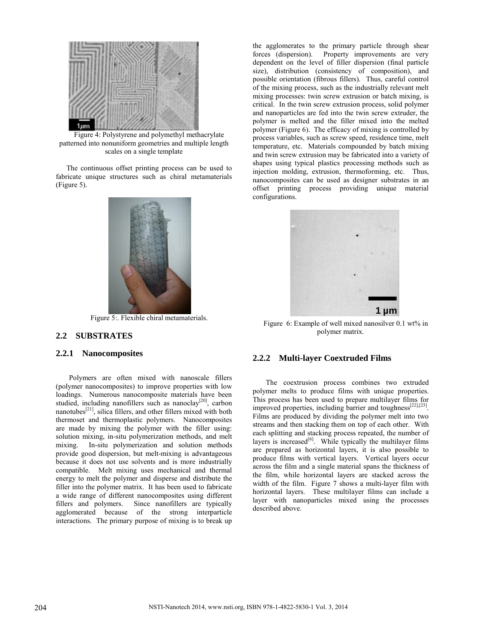

Figure 4: Polystyrene and polymethyl methacrylate patterned into nonuniform geometries and multiple length scales on a single template

The continuous offset printing process can be used to fabricate unique structures such as chiral metamaterials (Figure 5).



Figure 5:. Flexible chiral metamaterials.

### **2.2 SUBSTRATES**

#### **2.2.1 Nanocomposites**

Polymers are often mixed with nanoscale fillers (polymer nanocomposites) to improve properties with low loadings. Numerous nanocomposite materials have been studied, including nanofillers such as nanoclay<sup>[20]</sup>, carbon nanotubes $^{[21]}$ , silica fillers, and other fillers mixed with both thermoset and thermoplastic polymers. Nanocomposites are made by mixing the polymer with the filler solution mixing, in-situ polymerization methods, and melt mixing. In-situ polymerization and solution methods In-situ polymerization and solution methods provide good dispersion, but melt-mixing is advantageous because it does not use solvents and is more industrially compatible. Melt mixing uses mechanical and thermal energy to melt the polymer and disperse and distribute the filler into the polymer matrix. It has been used to fabricate a wide range of different nanocomposites using different fillers and polymers. Since nanofillers are typically agglomerated because of the strong interparticle interactions. The primary purpose of mixing is to break up ig, in-situ polymerization methods, and melt<br>situ polymerization and solution methods<br>dispersion, but melt-mixing is advantageous<br>es not use solvents and is more industrially<br>Melt mixing uses mechanical and thermal<br>t the p

the agglomerates to the primary particle through shear<br>forces (dispersion). Property improvements are very Property improvements are very dependent on the level of filler dispersion (final particle size), distribution (consistency of composition), and possible orientation (fibrous fillers). Thus, careful control possible orientation (fibrous fillers). Thus, careful control<br>of the mixing process, such as the industrially relevant melt mixing processes: twin screw extrusion or batch mixing, is critical. In the twin screw extrusion process, solid polymer and nanoparticles are fed into the twin screw extruder, the polymer is melted and the filler mixed into the melted polymer (Figure 6). The efficacy of mixing is controlled by process variables, such as screw speed, residence time, melt temperature, etc. Materials compounded by batch mixing and twin screw extrusion may be fabricated into a variety of shapes using typical plastics processing methods such as injection molding, extrusion, thermoforming, etc. Thus, nanocomposites can be used as designer substrates in an offset printing process providing unique material configurations.



Figure 6: Example of well mixed nanosilver 0.1 wt% in polymer matrix.

### **2.2.2 Multi-layer Coextruded Films**

The coextrusion process combines two extruded polymer melts to produce films with unique properties. This process has been used to prepare multilayer films for improved properties, including barrier and toughness<sup>[22],[23]</sup>. Films are produced by dividing the polymer melt into two streams and then stacking them on top of each other. With each splitting and stacking process repeated, the number of layers is increased<sup>[6]</sup>. While typically the multilayer films are prepared as horizontal layers, it is also possible to produce films with vertical layers. Vertical layers occur across the film and a single material spans the thickness of the film, while horizontal layers are stacked across the width of the film. Figure 7 shows a multi-layer film with horizontal layers. These multilayer films can include a layer with nanoparticles mixed using the processes described above. al spans the thi<br>are stacked a<br>s a multi-layer